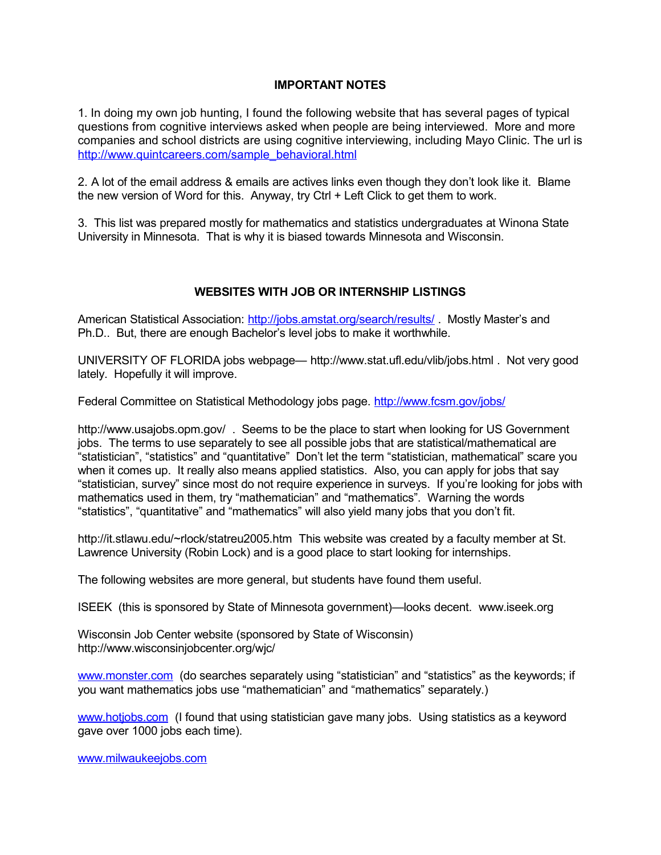## **IMPORTANT NOTES**

1. In doing my own job hunting, I found the following website that has several pages of typical questions from cognitive interviews asked when people are being interviewed. More and more companies and school districts are using cognitive interviewing, including Mayo Clinic. The url is [http://www.quintcareers.com/sample\\_behavioral.html](http://www.quintcareers.com/sample_behavioral.html)

2. A lot of the email address & emails are actives links even though they don't look like it. Blame the new version of Word for this. Anyway, try Ctrl + Left Click to get them to work.

3. This list was prepared mostly for mathematics and statistics undergraduates at Winona State University in Minnesota. That is why it is biased towards Minnesota and Wisconsin.

# **WEBSITES WITH JOB OR INTERNSHIP LISTINGS**

American Statistical Association:<http://jobs.amstat.org/search/results/> . Mostly Master's and Ph.D.. But, there are enough Bachelor's level jobs to make it worthwhile.

UNIVERSITY OF FLORIDA jobs webpage— <http://www.stat.ufl.edu/vlib/jobs.html> . Not very good lately. Hopefully it will improve.

Federal Committee on Statistical Methodology jobs page.<http://www.fcsm.gov/jobs/>

<http://www.usajobs.opm.gov/> . Seems to be the place to start when looking for US Government jobs. The terms to use separately to see all possible jobs that are statistical/mathematical are "statistician", "statistics" and "quantitative" Don't let the term "statistician, mathematical" scare you when it comes up. It really also means applied statistics. Also, you can apply for jobs that say "statistician, survey" since most do not require experience in surveys. If you're looking for jobs with mathematics used in them, try "mathematician" and "mathematics". Warning the words "statistics", "quantitative" and "mathematics" will also yield many jobs that you don't fit.

<http://it.stlawu.edu/~rlock/statreu2005.htm> This website was created by a faculty member at St. Lawrence University (Robin Lock) and is a good place to start looking for internships.

The following websites are more general, but students have found them useful.

ISEEK (this is sponsored by State of Minnesota government)—looks decent. [www.iseek.org](http://www.iseek.org/)

Wisconsin Job Center website (sponsored by State of Wisconsin) <http://www.wisconsinjobcenter.org/wjc/>

[www.monster.com](http://www.monster.com/) (do searches separately using "statistician" and "statistics" as the keywords; if you want mathematics jobs use "mathematician" and "mathematics" separately.)

[www.hotjobs.com](http://www.hotjobs.com/) (I found that using statistician gave many jobs. Using statistics as a keyword gave over 1000 jobs each time).

[www.milwaukeejobs.com](http://www.milwaukeejobs.com/)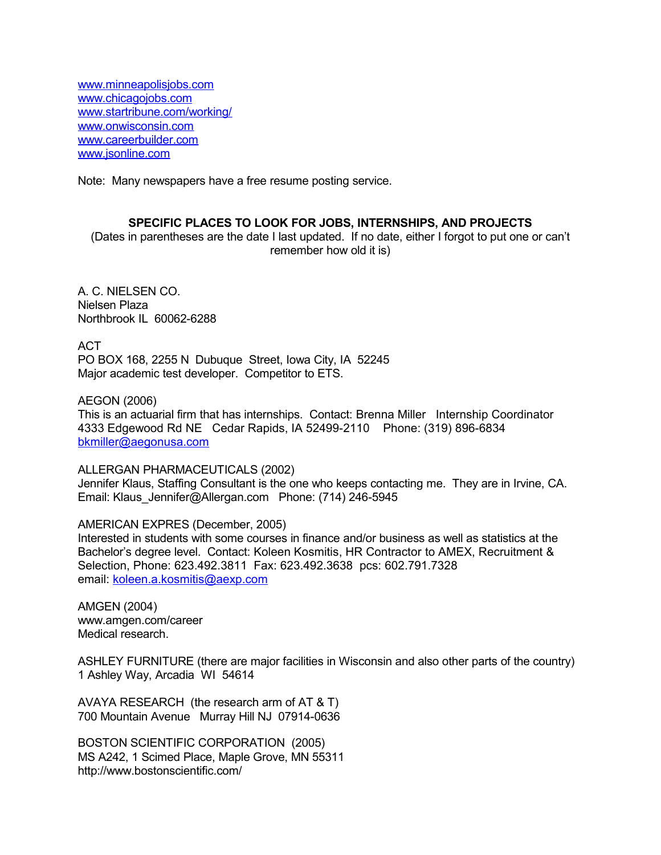[www.minneapolisjobs.com](http://www.minneapolisjobs.com/)  [www.chicagojobs.com](http://www.chicagojobs.com/)  [www.startribune.com/working/](http://www.startribune.com/working/)  [www.onwisconsin.com](http://www.onwisconsin.com/)  [www.careerbuilder.com](http://www.careerbuilder.com/)  [www.jsonline.com](http://www.jsonline.com/) 

Note: Many newspapers have a free resume posting service.

### **SPECIFIC PLACES TO LOOK FOR JOBS, INTERNSHIPS, AND PROJECTS**

(Dates in parentheses are the date I last updated. If no date, either I forgot to put one or can't remember how old it is)

A. C. NIELSEN CO. Nielsen Plaza Northbrook IL 60062-6288

ACT

PO BOX 168, 2255 N Dubuque Street, Iowa City, IA 52245 Major academic test developer. Competitor to ETS.

AEGON (2006)

This is an actuarial firm that has internships. Contact: Brenna Miller Internship Coordinator 4333 Edgewood Rd NE Cedar Rapids, IA 52499-2110 Phone: (319) 896-6834 [bkmiller@aegonusa.com](mailto:bkmiller@aegonusa.com)

ALLERGAN PHARMACEUTICALS (2002)

Jennifer Klaus, Staffing Consultant is the one who keeps contacting me. They are in Irvine, CA. Email: Klaus\_Jennifer@Allergan.com Phone: (714) 246-5945

AMERICAN EXPRES (December, 2005)

Interested in students with some courses in finance and/or business as well as statistics at the Bachelor's degree level. Contact: Koleen Kosmitis, HR Contractor to AMEX, Recruitment & Selection, Phone: 623.492.3811 Fax: 623.492.3638 pcs: 602.791.7328 email: [koleen.a.kosmitis@aexp.com](mailto:koleen.a.kosmitis@aexp.com)

AMGEN (2004) [www.amgen.com/career](http://www.amgen.com/career) Medical research.

ASHLEY FURNITURE (there are major facilities in Wisconsin and also other parts of the country) 1 Ashley Way, Arcadia WI 54614

AVAYA RESEARCH (the research arm of AT & T) 700 Mountain Avenue Murray Hill NJ 07914-0636

BOSTON SCIENTIFIC CORPORATION (2005) MS A242, 1 Scimed Place, Maple Grove, MN 55311 <http://www.bostonscientific.com/>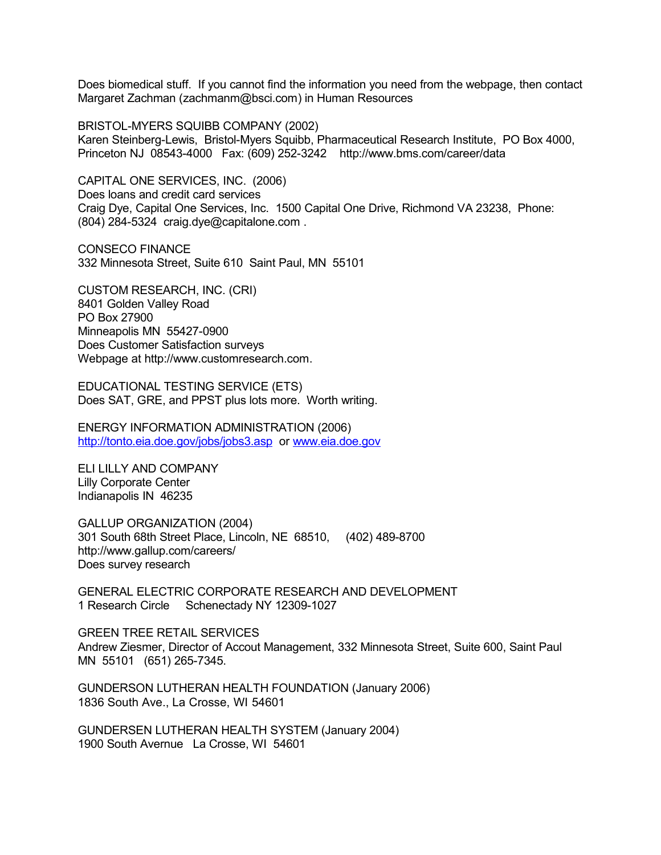Does biomedical stuff. If you cannot find the information you need from the webpage, then contact Margaret Zachman [\(zachmanm@bsci.com\)](mailto:zachmanm@bsci.com) in Human Resources

BRISTOL-MYERS SQUIBB COMPANY (2002) Karen Steinberg-Lewis, Bristol-Myers Squibb, Pharmaceutical Research Institute, PO Box 4000, Princeton NJ 08543-4000 Fax: (609) 252-3242 <http://www.bms.com/career/data>

CAPITAL ONE SERVICES, INC. (2006) Does loans and credit card services Craig Dye, Capital One Services, Inc. 1500 Capital One Drive, Richmond VA 23238, Phone: (804) 284-5324 [craig.dye@capitalone.com](mailto:craig.dye@capitalone.com) .

CONSECO FINANCE 332 Minnesota Street, Suite 610 Saint Paul, MN 55101

CUSTOM RESEARCH, INC. (CRI) 8401 Golden Valley Road PO Box 27900 Minneapolis MN 55427-0900 Does Customer Satisfaction surveys Webpage at [http://www.customresearch.com.](http://www.customresearch.com/)

EDUCATIONAL TESTING SERVICE (ETS) Does SAT, GRE, and PPST plus lots more. Worth writing.

ENERGY INFORMATION ADMINISTRATION (2006) <http://tonto.eia.doe.gov/jobs/jobs3.asp> or [www.eia.doe.gov](http://www.eia.doe.gov/)

ELI LILLY AND COMPANY Lilly Corporate Center Indianapolis IN 46235

GALLUP ORGANIZATION (2004) 301 South 68th Street Place, Lincoln, NE 68510, (402) 489-8700 <http://www.gallup.com/careers/> Does survey research

GENERAL ELECTRIC CORPORATE RESEARCH AND DEVELOPMENT 1 Research Circle Schenectady NY 12309-1027

GREEN TREE RETAIL SERVICES Andrew Ziesmer, Director of Accout Management, 332 Minnesota Street, Suite 600, Saint Paul MN 55101 (651) 265-7345.

GUNDERSON LUTHERAN HEALTH FOUNDATION (January 2006) 1836 South Ave., La Crosse, WI 54601

GUNDERSEN LUTHERAN HEALTH SYSTEM (January 2004) 1900 South Avernue La Crosse, WI 54601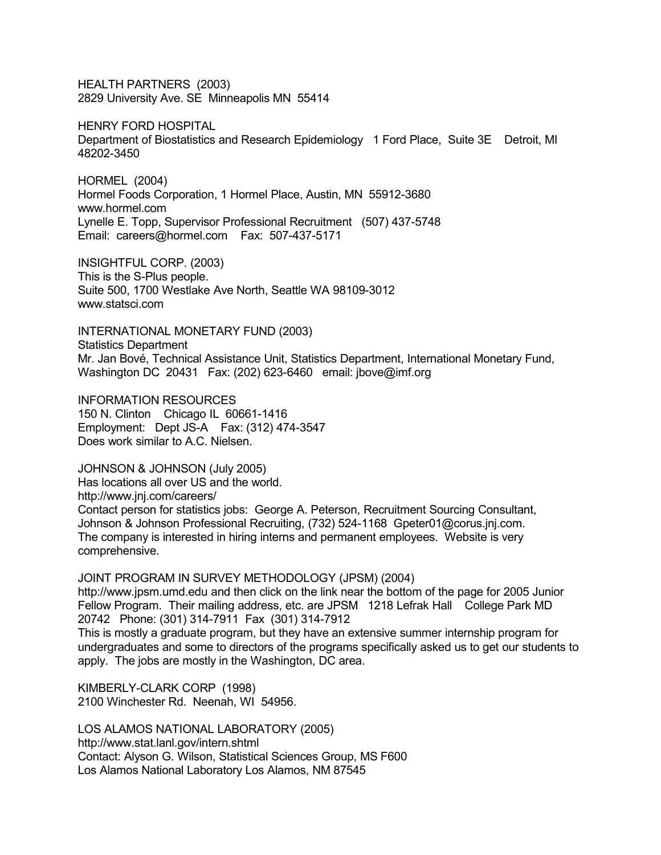HEALTH PARTNERS (2003) 2829 University Ave. SE Minneapolis MN 55414

HENRY FORD HOSPITAL Department of Biostatistics and Research Epidemiology 1 Ford Place, Suite 3E Detroit, MI 48202-3450

HORMEL (2004) Hormel Foods Corporation, 1 Hormel Place, Austin, MN 55912-3680 [www.hormel.com](http://www.hormel.com/) Lynelle E. Topp, Supervisor Professional Recruitment (507) 437-5748 Email: [careers@hormel.com](mailto:careers@hormel.com) Fax: 507-437-5171

INSIGHTFUL CORP. (2003) This is the S-Plus people. Suite 500, 1700 Westlake Ave North, Seattle WA 98109-3012 www.statsci.com

INTERNATIONAL MONETARY FUND (2003) Statistics Department Mr. Jan Bové, Technical Assistance Unit, Statistics Department, International Monetary Fund, Washington DC 20431 Fax: (202) 623-6460 email: jbove@imf.org

INFORMATION RESOURCES 150 N. Clinton Chicago IL 60661-1416 Employment: Dept JS-A Fax: (312) 474-3547 Does work similar to A.C. Nielsen.

JOHNSON & JOHNSON (July 2005) Has locations all over US and the world. <http://www.jnj.com/careers/> Contact person for statistics jobs: George A. Peterson, Recruitment Sourcing Consultant, Johnson & Johnson Professional Recruiting, (732) 524-1168 Gpeter01@corus.jnj.com. The company is interested in hiring interns and permanent employees. Website is very comprehensive.

JOINT PROGRAM IN SURVEY METHODOLOGY (JPSM) (2004)

[http://www.jpsm.umd.edu](http://www.jpsm.umd.edu/) and then click on the link near the bottom of the page for 2005 Junior Fellow Program. Their mailing address, etc. are JPSM 1218 Lefrak Hall College Park MD 20742 Phone: (301) 314-7911 Fax (301) 314-7912

This is mostly a graduate program, but they have an extensive summer internship program for undergraduates and some to directors of the programs specifically asked us to get our students to apply. The jobs are mostly in the Washington, DC area.

KIMBERLY-CLARK CORP (1998) 2100 Winchester Rd. Neenah, WI 54956.

LOS ALAMOS NATIONAL LABORATORY (2005) <http://www.stat.lanl.gov/intern.shtml> Contact: Alyson G. Wilson, Statistical Sciences Group, MS F600 Los Alamos National Laboratory Los Alamos, NM 87545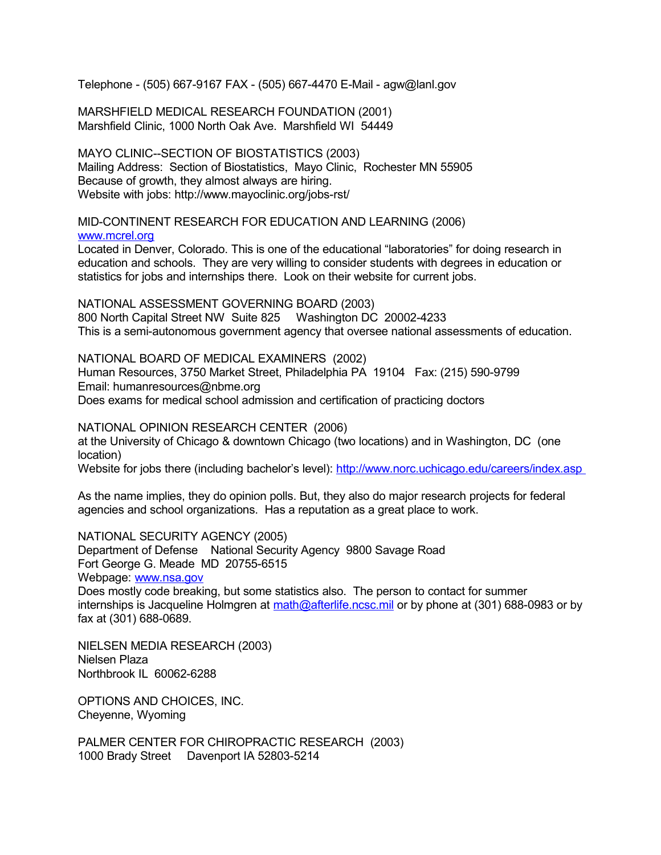Telephone - (505) 667-9167 FAX - (505) 667-4470 E-Mail - [agw@lanl.gov](http://www.stat.lanl.gov/people/awilson.shtml)

MARSHFIELD MEDICAL RESEARCH FOUNDATION (2001) Marshfield Clinic, 1000 North Oak Ave. Marshfield WI 54449

MAYO CLINIC--SECTION OF BIOSTATISTICS (2003) Mailing Address: Section of Biostatistics, Mayo Clinic, Rochester MN 55905 Because of growth, they almost always are hiring. Website with jobs: http://www.mayoclinic.org/jobs-rst/

MID-CONTINENT RESEARCH FOR EDUCATION AND LEARNING (2006) [www.mcrel.org](http://www.mcrel.org/) 

Located in Denver, Colorado. This is one of the educational "laboratories" for doing research in education and schools. They are very willing to consider students with degrees in education or statistics for jobs and internships there. Look on their website for current jobs.

NATIONAL ASSESSMENT GOVERNING BOARD (2003) 800 North Capital Street NW Suite 825 Washington DC 20002-4233 This is a semi-autonomous government agency that oversee national assessments of education.

NATIONAL BOARD OF MEDICAL EXAMINERS (2002) Human Resources, 3750 Market Street, Philadelphia PA 19104 Fax: (215) 590-9799 Email: humanresources@nbme.org Does exams for medical school admission and certification of practicing doctors

NATIONAL OPINION RESEARCH CENTER (2006) at the University of Chicago & downtown Chicago (two locations) and in Washington, DC (one location) Website for jobs there (including bachelor's level): http://www.norc.uchicago.edu/careers/index.asp

As the name implies, they do opinion polls. But, they also do major research projects for federal agencies and school organizations. Has a reputation as a great place to work.

NATIONAL SECURITY AGENCY (2005) Department of Defense National Security Agency 9800 Savage Road Fort George G. Meade MD 20755-6515 Webpage: [www.nsa.gov](http://www.nsa.gov/)

Does mostly code breaking, but some statistics also. The person to contact for summer internships is Jacqueline Holmgren at [math@afterlife.ncsc.mil](mailto:math@afterlife.ncsc.mil) or by phone at (301) 688-0983 or by fax at (301) 688-0689.

NIELSEN MEDIA RESEARCH (2003) Nielsen Plaza Northbrook IL 60062-6288

OPTIONS AND CHOICES, INC. Cheyenne, Wyoming

PALMER CENTER FOR CHIROPRACTIC RESEARCH (2003) 1000 Brady Street Davenport IA 52803-5214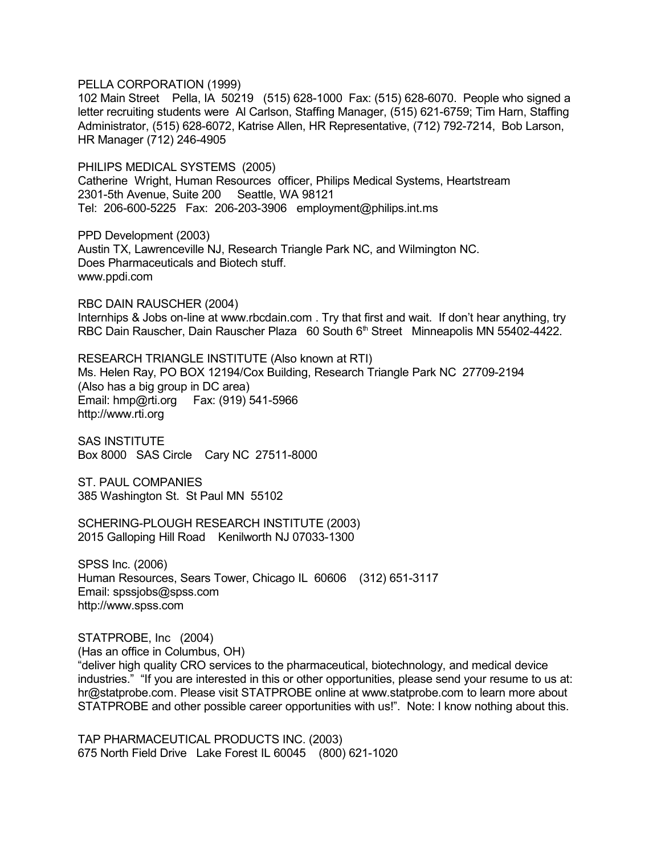PELLA CORPORATION (1999)

102 Main Street Pella, IA 50219 (515) 628-1000 Fax: (515) 628-6070. People who signed a letter recruiting students were Al Carlson, Staffing Manager, (515) 621-6759; Tim Harn, Staffing Administrator, (515) 628-6072, Katrise Allen, HR Representative, (712) 792-7214, Bob Larson, HR Manager (712) 246-4905

PHILIPS MEDICAL SYSTEMS (2005) Catherine Wright, Human Resources officer, Philips Medical Systems, Heartstream 2301-5th Avenue, Suite 200 Seattle, WA 98121 Tel: 206-600-5225 Fax: 206-203-3906 [employment@philips.int.ms](mailto:employment@philips.int.ms)

PPD Development (2003) Austin TX, Lawrenceville NJ, Research Triangle Park NC, and Wilmington NC. Does Pharmaceuticals and Biotech stuff. www.ppdi.com

RBC DAIN RAUSCHER (2004) Internhips & Jobs on-line at [www.rbcdain.com](http://www.rbcdain.com/) . Try that first and wait. If don't hear anything, try RBC Dain Rauscher, Dain Rauscher Plaza 60 South 6<sup>th</sup> Street Minneapolis MN 55402-4422.

RESEARCH TRIANGLE INSTITUTE (Also known at RTI) Ms. Helen Ray, PO BOX 12194/Cox Building, Research Triangle Park NC 27709-2194 (Also has a big group in DC area) Email: hmp@rti.org Fax: (919) 541-5966 http://www.rti.org

SAS INSTITUTE Box 8000 SAS Circle Cary NC 27511-8000

ST. PAUL COMPANIES 385 Washington St. St Paul MN 55102

SCHERING-PLOUGH RESEARCH INSTITUTE (2003) 2015 Galloping Hill Road Kenilworth NJ 07033-1300

SPSS Inc. (2006) Human Resources, Sears Tower, Chicago IL 60606 (312) 651-3117 Email: spssjobs@spss.com [http://www.spss.com](http://www.spss.com/)

STATPROBE, Inc (2004) (Has an office in Columbus, OH) "deliver high quality CRO services to the pharmaceutical, biotechnology, and medical device industries." "If you are interested in this or other opportunities, please send your resume to us at: [hr@statprobe.com.](mailto:hr@statprobe.com) Please visit STATPROBE online at [www.statprobe.com](http://www.statprobe.com/) to learn more about STATPROBE and other possible career opportunities with us!". Note: I know nothing about this.

TAP PHARMACEUTICAL PRODUCTS INC. (2003) 675 North Field Drive Lake Forest IL 60045 (800) 621-1020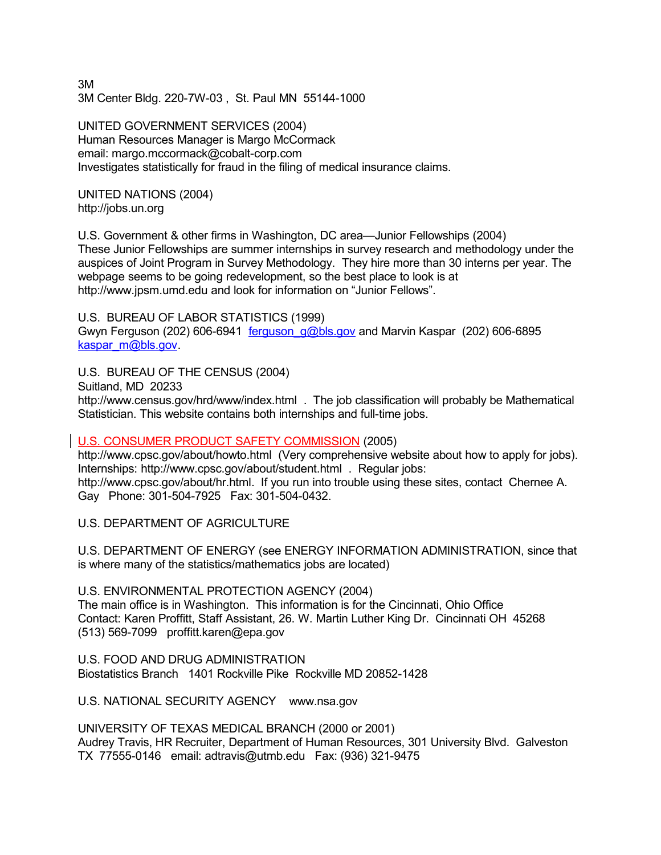3M 3M Center Bldg. 220-7W-03 , St. Paul MN 55144-1000

UNITED GOVERNMENT SERVICES (2004) Human Resources Manager is Margo McCormack email: margo.mccormack@cobalt-corp.com Investigates statistically for fraud in the filing of medical insurance claims.

UNITED NATIONS (2004) [http://jobs.un.org](http://jobs.un.org/)

U.S. Government & other firms in Washington, DC area—Junior Fellowships (2004) These Junior Fellowships are summer internships in survey research and methodology under the auspices of Joint Program in Survey Methodology. They hire more than 30 interns per year. The webpage seems to be going redevelopment, so the best place to look is at [http://www.jpsm.umd.edu](http://www.jpsm.umd.edu/) and look for information on "Junior Fellows".

U.S. BUREAU OF LABOR STATISTICS (1999) Gwyn Ferguson (202) 606-6941 [ferguson\\_g@bls.gov](mailto:ferguson_g@bls.gov) and Marvin Kaspar (202) 606-6895 kaspar\_m@bls.gov

U.S. BUREAU OF THE CENSUS (2004)

Suitland, MD 20233

<http://www.census.gov/hrd/www/index.html> . The job classification will probably be Mathematical Statistician. This website contains both internships and full-time jobs.

# U.S. CONSUMER PRODUCT SAFETY COMMISSION (2005)

<http://www.cpsc.gov/about/howto.html> (Very comprehensive website about how to apply for jobs). Internships:<http://www.cpsc.gov/about/student.html> . Regular jobs: [http://www.cpsc.gov/about/hr.html.](http://www.cpsc.gov/about/hr.html) If you run into trouble using these sites, contact Chernee A. Gay Phone: 301-504-7925 Fax: 301-504-0432.

U.S. DEPARTMENT OF AGRICULTURE

U.S. DEPARTMENT OF ENERGY (see ENERGY INFORMATION ADMINISTRATION, since that is where many of the statistics/mathematics jobs are located)

U.S. ENVIRONMENTAL PROTECTION AGENCY (2004) The main office is in Washington. This information is for the Cincinnati, Ohio Office Contact: Karen Proffitt, Staff Assistant, 26. W. Martin Luther King Dr. Cincinnati OH 45268 (513) 569-7099 [proffitt.karen@epa.gov](mailto:proffitt.karen@epa.gov)

U.S. FOOD AND DRUG ADMINISTRATION Biostatistics Branch 1401 Rockville Pike Rockville MD 20852-1428

U.S. NATIONAL SECURITY AGENCY [www.nsa.gov](http://www.nsa.gov/)

UNIVERSITY OF TEXAS MEDICAL BRANCH (2000 or 2001) Audrey Travis, HR Recruiter, Department of Human Resources, 301 University Blvd. Galveston TX 77555-0146 email: adtravis@utmb.edu Fax: (936) 321-9475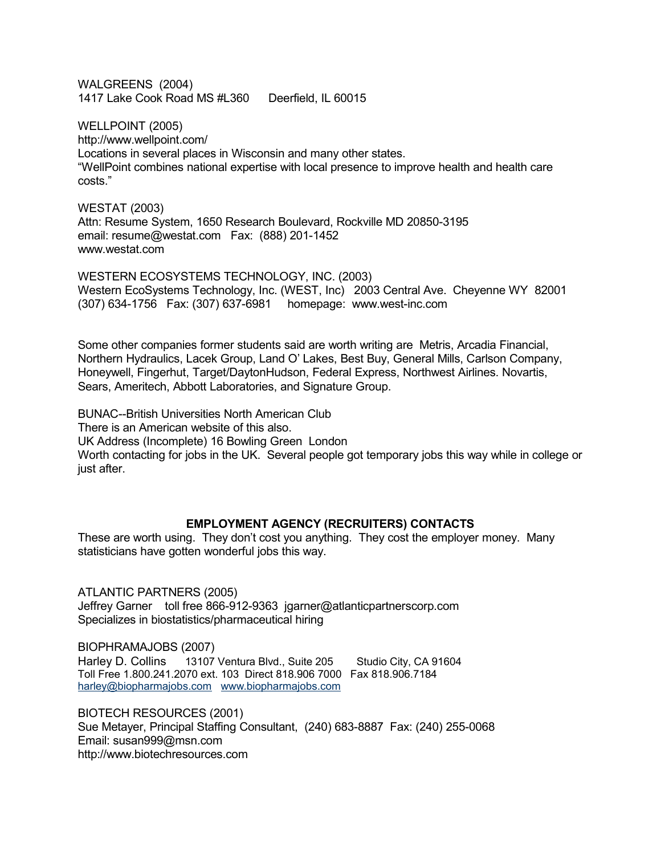WALGREENS (2004) 1417 Lake Cook Road MS #L360 Deerfield, IL 60015

WELLPOINT (2005) <http://www.wellpoint.com/> Locations in several places in Wisconsin and many other states. "WellPoint combines national expertise with local presence to improve health and health care costs."

WESTAT (2003) Attn: Resume System, 1650 Research Boulevard, Rockville MD 20850-3195 email: resume@westat.com Fax: (888) 201-1452 www.westat.com

WESTERN ECOSYSTEMS TECHNOLOGY, INC. (2003) Western EcoSystems Technology, Inc. (WEST, Inc) 2003 Central Ave. Cheyenne WY 82001 (307) 634-1756 Fax: (307) 637-6981 homepage: www.west-inc.com

Some other companies former students said are worth writing are Metris, Arcadia Financial, Northern Hydraulics, Lacek Group, Land O' Lakes, Best Buy, General Mills, Carlson Company, Honeywell, Fingerhut, Target/DaytonHudson, Federal Express, Northwest Airlines. Novartis, Sears, Ameritech, Abbott Laboratories, and Signature Group.

BUNAC--British Universities North American Club There is an American website of this also. UK Address (Incomplete) 16 Bowling Green London Worth contacting for jobs in the UK. Several people got temporary jobs this way while in college or just after.

### **EMPLOYMENT AGENCY (RECRUITERS) CONTACTS**

These are worth using. They don't cost you anything. They cost the employer money. Many statisticians have gotten wonderful jobs this way.

ATLANTIC PARTNERS (2005) Jeffrey Garner toll free 866-912-9363 jgarner@atlanticpartnerscorp.com Specializes in biostatistics/pharmaceutical hiring

BIOPHRAMAJOBS (2007) Harley D. Collins 13107 Ventura Blvd., Suite 205 Studio City, CA 91604 Toll Free 1.800.241.2070 ext. 103 Direct 818.906 7000 Fax 818.906.7184 [harley@biopharmajobs.com](mailto:harley@biopharmajobs.com) [www.biopharmajobs.com](http://www.biopharmajobs.com/)

BIOTECH RESOURCES (2001) Sue Metayer, Principal Staffing Consultant, (240) 683-8887 Fax: (240) 255-0068 Email: susan999@msn.com http://www.biotechresources.com